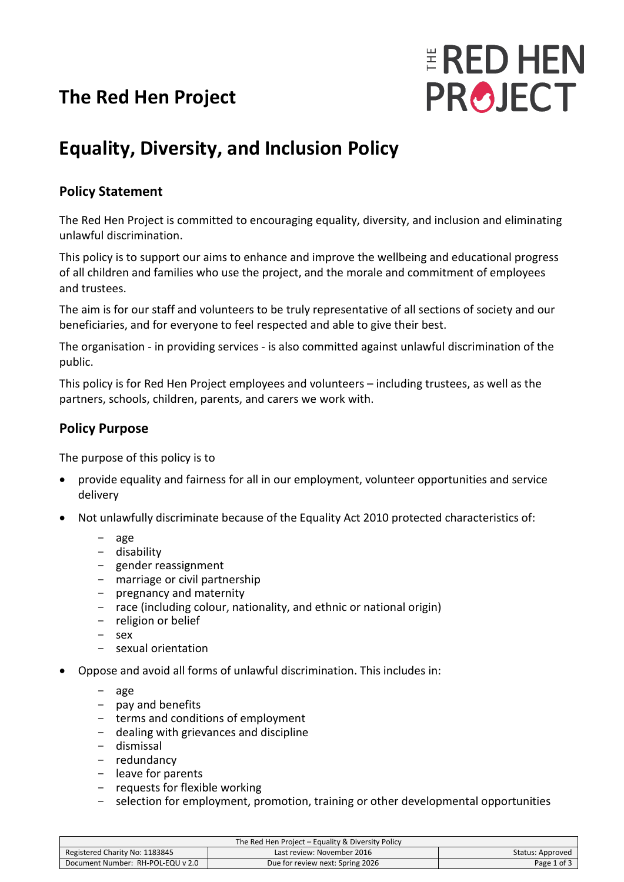# **The Red Hen Project**



# **Equality, Diversity, and Inclusion Policy**

## **Policy Statement**

The Red Hen Project is committed to encouraging equality, diversity, and inclusion and eliminating unlawful discrimination.

This policy is to support our aims to enhance and improve the wellbeing and educational progress of all children and families who use the project, and the morale and commitment of employees and trustees.

The aim is for our staff and volunteers to be truly representative of all sections of society and our beneficiaries, and for everyone to feel respected and able to give their best.

The organisation - in providing services - is also committed against unlawful discrimination of the public.

This policy is for Red Hen Project employees and volunteers – including trustees, as well as the partners, schools, children, parents, and carers we work with.

#### **Policy Purpose**

The purpose of this policy is to

- provide equality and fairness for all in our employment, volunteer opportunities and service delivery
- Not unlawfully discriminate because of the Equality Act 2010 protected characteristics of:
	- age
	- disability
	- gender reassignment
	- marriage or civil partnership
	- pregnancy and maternity
	- race (including colour, nationality, and ethnic or national origin)
	- religion or belief
	- sex
	- sexual orientation
- Oppose and avoid all forms of unlawful discrimination. This includes in:
	- age
	- pay and benefits
	- terms and conditions of employment
	- dealing with grievances and discipline
	- dismissal
	- redundancy
	- leave for parents
	- requests for flexible working<br>- selection for employment, pr
	- selection for employment, promotion, training or other developmental opportunities

| The Red Hen Project – Equality & Diversity Policy |                                  |                  |  |
|---------------------------------------------------|----------------------------------|------------------|--|
| Registered Charity No: 1183845                    | Last review: November 2016       | Status: Approved |  |
| Document Number: RH-POL-EQU v 2.0                 | Due for review next: Spring 2026 | Page 1 of 3      |  |
|                                                   |                                  |                  |  |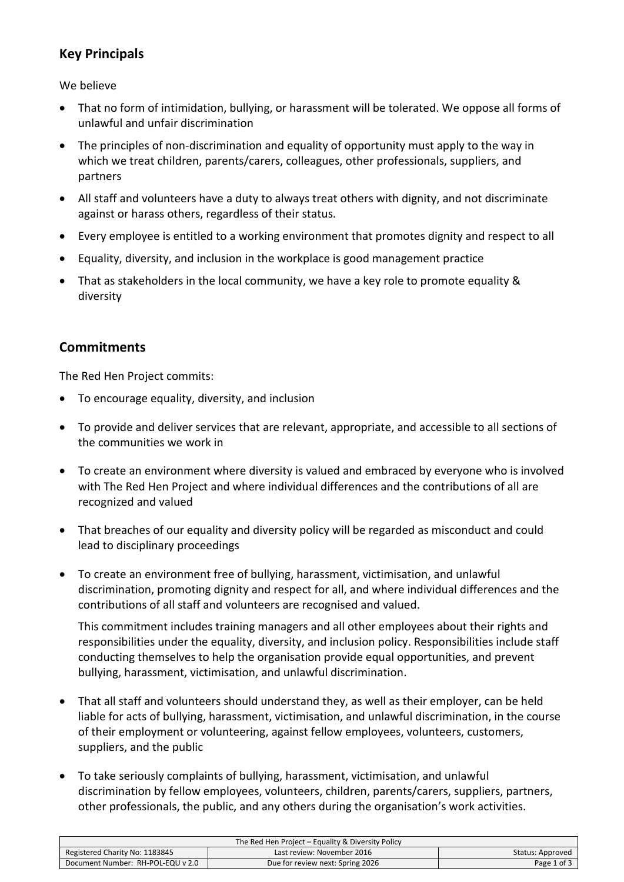## **Key Principals**

We believe

- That no form of intimidation, bullying, or harassment will be tolerated. We oppose all forms of unlawful and unfair discrimination
- The principles of non-discrimination and equality of opportunity must apply to the way in which we treat children, parents/carers, colleagues, other professionals, suppliers, and partners
- All staff and volunteers have a duty to always treat others with dignity, and not discriminate against or harass others, regardless of their status.
- Every employee is entitled to a working environment that promotes dignity and respect to all
- Equality, diversity, and inclusion in the workplace is good management practice
- That as stakeholders in the local community, we have a key role to promote equality & diversity

### **Commitments**

The Red Hen Project commits:

- To encourage equality, diversity, and inclusion
- To provide and deliver services that are relevant, appropriate, and accessible to all sections of the communities we work in
- To create an environment where diversity is valued and embraced by everyone who is involved with The Red Hen Project and where individual differences and the contributions of all are recognized and valued
- That breaches of our equality and diversity policy will be regarded as misconduct and could lead to disciplinary proceedings
- To create an environment free of bullying, harassment, victimisation, and unlawful discrimination, promoting dignity and respect for all, and where individual differences and the contributions of all staff and volunteers are recognised and valued.

This commitment includes training managers and all other employees about their rights and responsibilities under the equality, diversity, and inclusion policy. Responsibilities include staff conducting themselves to help the organisation provide equal opportunities, and prevent bullying, harassment, victimisation, and unlawful discrimination.

- That all staff and volunteers should understand they, as well as their employer, can be held liable for acts of bullying, harassment, victimisation, and unlawful discrimination, in the course of their employment or volunteering, against fellow employees, volunteers, customers, suppliers, and the public
- To take seriously complaints of bullying, harassment, victimisation, and unlawful discrimination by fellow employees, volunteers, children, parents/carers, suppliers, partners, other professionals, the public, and any others during the organisation's work activities.

| The Red Hen Project – Equality & Diversity Policy |                                  |                  |
|---------------------------------------------------|----------------------------------|------------------|
| Registered Charity No: 1183845                    | Last review: November 2016       | Status: Approved |
| Document Number: RH-POL-EQU v 2.0                 | Due for review next: Spring 2026 | Page 1 of 3      |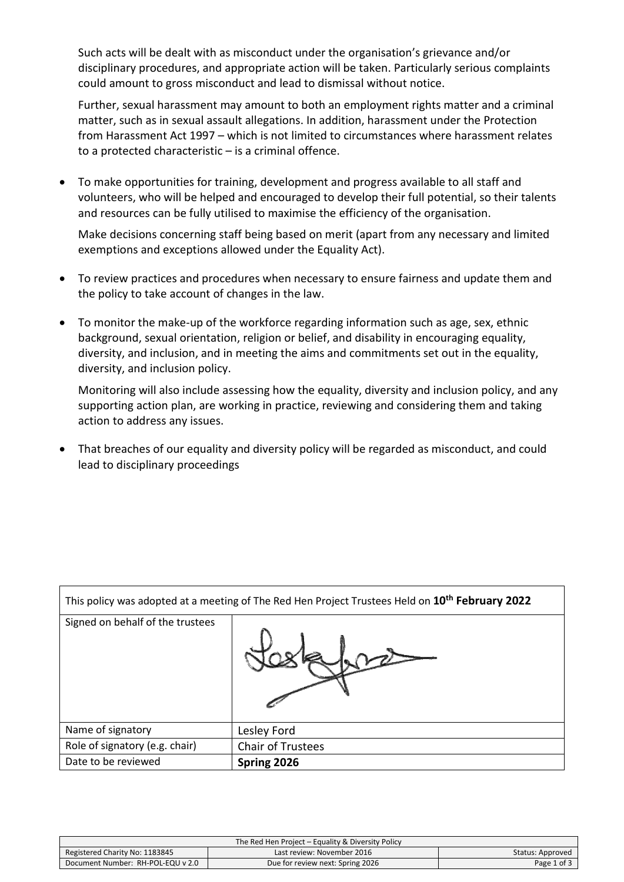Such acts will be dealt with as misconduct under the organisation's grievance and/or disciplinary procedures, and appropriate action will be taken. Particularly serious complaints could amount to gross misconduct and lead to dismissal without notice.

Further, sexual harassment may amount to both an employment rights matter and a criminal matter, such as in sexual assault allegations. In addition, harassment under the Protection from Harassment Act 1997 – which is not limited to circumstances where harassment relates to a protected characteristic – is a criminal offence.

• To make opportunities for training, development and progress available to all staff and volunteers, who will be helped and encouraged to develop their full potential, so their talents and resources can be fully utilised to maximise the efficiency of the organisation.

Make decisions concerning staff being based on merit (apart from any necessary and limited exemptions and exceptions allowed under the Equality Act).

- To review practices and procedures when necessary to ensure fairness and update them and the policy to take account of changes in the law.
- To monitor the make-up of the workforce regarding information such as age, sex, ethnic background, sexual orientation, religion or belief, and disability in encouraging equality, diversity, and inclusion, and in meeting the aims and commitments set out in the equality, diversity, and inclusion policy.

Monitoring will also include assessing how the equality, diversity and inclusion policy, and any supporting action plan, are working in practice, reviewing and considering them and taking action to address any issues.

• That breaches of our equality and diversity policy will be regarded as misconduct, and could lead to disciplinary proceedings

| This policy was adopted at a meeting of The Red Hen Project Trustees Held on 10 <sup>th</sup> February 2022 |                   |  |
|-------------------------------------------------------------------------------------------------------------|-------------------|--|
| Signed on behalf of the trustees                                                                            |                   |  |
| Name of signatory                                                                                           | Lesley Ford       |  |
| Role of signatory (e.g. chair)                                                                              | Chair of Trustees |  |
| Date to be reviewed                                                                                         | Spring 2026       |  |

| The Red Hen Project – Equality & Diversity Policy |                                  |                  |
|---------------------------------------------------|----------------------------------|------------------|
| Registered Charity No: 1183845                    | Last review: November 2016       | Status: Approved |
| Document Number: RH-POL-EQU v 2.0                 | Due for review next: Spring 2026 | Page 1 of 3      |
|                                                   |                                  |                  |